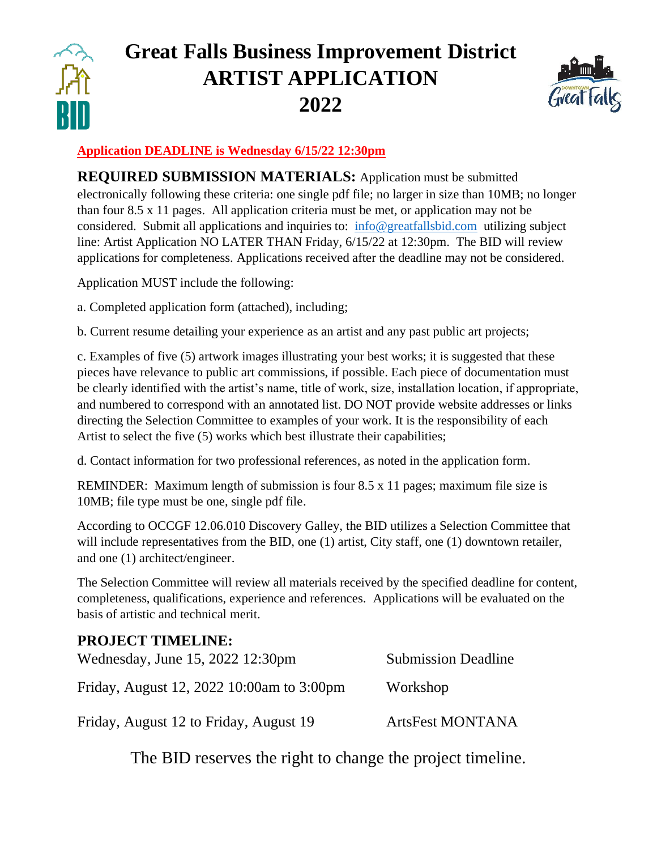

# **Great Falls Business Improvement District ARTIST APPLICATION 2022**



### **Application DEADLINE is Wednesday 6/15/22 12:30pm**

**REQUIRED SUBMISSION MATERIALS:** Application must be submitted electronically following these criteria: one single pdf file; no larger in size than 10MB; no longer than four 8.5 x 11 pages. All application criteria must be met, or application may not be considered. Submit all applications and inquiries to: [info@greatfallsbid.com](mailto:info@greatfallsbid.com) utilizing subject line: Artist Application NO LATER THAN Friday, 6/15/22 at 12:30pm. The BID will review applications for completeness. Applications received after the deadline may not be considered.

Application MUST include the following:

a. Completed application form (attached), including;

b. Current resume detailing your experience as an artist and any past public art projects;

c. Examples of five (5) artwork images illustrating your best works; it is suggested that these pieces have relevance to public art commissions, if possible. Each piece of documentation must be clearly identified with the artist's name, title of work, size, installation location, if appropriate, and numbered to correspond with an annotated list. DO NOT provide website addresses or links directing the Selection Committee to examples of your work. It is the responsibility of each Artist to select the five (5) works which best illustrate their capabilities;

d. Contact information for two professional references, as noted in the application form.

REMINDER: Maximum length of submission is four 8.5 x 11 pages; maximum file size is 10MB; file type must be one, single pdf file.

According to OCCGF 12.06.010 Discovery Galley, the BID utilizes a Selection Committee that will include representatives from the BID, one (1) artist, City staff, one (1) downtown retailer, and one (1) architect/engineer.

The Selection Committee will review all materials received by the specified deadline for content, completeness, qualifications, experience and references. Applications will be evaluated on the basis of artistic and technical merit.

## **PROJECT TIMELINE:**

| Wednesday, June 15, 2022 12:30pm          | <b>Submission Deadline</b> |
|-------------------------------------------|----------------------------|
| Friday, August 12, 2022 10:00am to 3:00pm | Workshop                   |
| Friday, August 12 to Friday, August 19    | <b>ArtsFest MONTANA</b>    |

The BID reserves the right to change the project timeline.